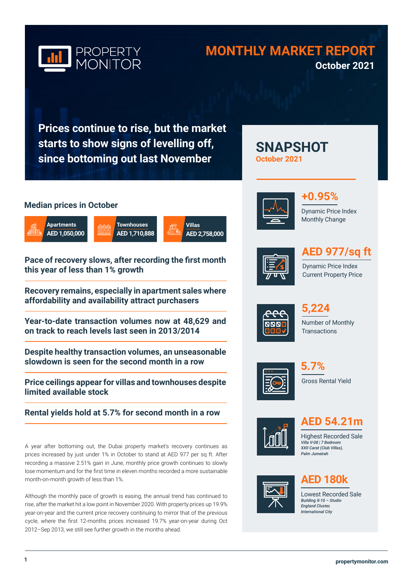

# **MONTHLY MARKET REPORT October 2021**

**SNAPSHOT** 

**Prices continue to rise, but the market starts to show signs of levelling off, since bottoming out last November**

# **Median prices in October**







**Pace of recovery slows, after recording the first month this year of less than 1% growth**

**Recovery remains, especially in apartment sales where affordability and availability attract purchasers**

**Year-to-date transaction volumes now at 48,629 and on track to reach levels last seen in 2013/2014**

**Despite healthy transaction volumes, an unseasonable slowdown is seen for the second month in a row**

**Price ceilings appear for villas and townhouses despite limited available stock** 

**Rental yields hold at 5.7% for second month in a row** 

A year after bottoming out, the Dubai property market's recovery continues as prices increased by just under 1% in October to stand at AED 977 per sq ft. After recording a massive 2.51% gain in June, monthly price growth continues to slowly lose momentum and for the first time in eleven months recorded a more sustainable month-on-month growth of less than 1%.

Although the monthly pace of growth is easing, the annual trend has continued to rise, after the market hit a low point in November 2020. With property prices up 19.9% year-on-year and the current price recovery continuing to mirror that of the previous cycle, where the first 12-months prices increased 19.7% year-on-year during Oct 2012–Sep 2013, we still see further growth in the months ahead.



**October 2021**



Dynamic Price Index Monthly Change



# **AED 977/sq ft**

Dynamic Price Index Current Property Price



Number of Monthly **Transactions 5,224**







**AED 54.21m**

Highest Recorded Sale *Villa V-08 | 7 Bedroom XXII Carat (Club Villas), Palm Jumeirah* 



# **AED 180k**

Lowest Recorded Sale *Building X-10 – Studio England Cluster, International City*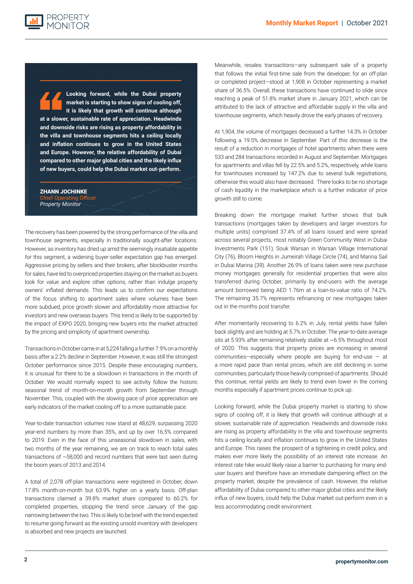**Looking forward, while the Dubai property market is starting to show signs of cooling off, it is likely that growth will continue although at a slower, sustainable rate of appreciation. Headwinds and downside risks are rising as property affordability in the villa and townhouse segments hits a ceiling locally and inflation continues to grow in the United States and Europe. However, the relative affordability of Dubai compared to other major global cities and the likely influx of new buyers, could help the Dubai market out-perform.**

ZHANN JOCHINKE nief Operating Officer *Property Monitor*

The recovery has been powered by the strong performance of the villa and townhouse segments, especially in traditionally sought-after locations. However, as inventory has dried up amid the seemingly insatiable appetite for this segment, a widening buyer-seller expectation gap has emerged. Aggressive pricing by sellers and their brokers, after blockbuster months for sales, have led to overpriced properties staying on the market as buyers look for value and explore other options, rather than indulge property owners' inflated demands. This leads us to confirm our expectations of the focus shifting to apartment sales where volumes have been more subdued, price growth slower and affordability more attractive for investors and new overseas buyers. This trend is likely to be supported by the impact of EXPO 2020, bringing new buyers into the market attracted by the pricing and simplicity of apartment ownership.

Transactions in October came in at 5,224 falling a further 7.9% on a monthly basis after a 2.2% decline in September. However, it was still the strongest October performance since 2015. Despite these encouraging numbers, it is unusual for there to be a slowdown in transactions in the month of October. We would normally expect to see activity follow the historic seasonal trend of month-on-month growth from September through November. This, coupled with the slowing pace of price appreciation are early indicators of the market cooling off to a more sustainable pace.

Year-to-date transaction volumes now stand at 48,629, surpassing 2020 year-end numbers by more than 35%, and up by over 16.5% compared to 2019. Even in the face of this unseasonal slowdown in sales, with two months of the year remaining, we are on track to reach total sales transactions of ~58,000 and record numbers that were last seen during the boom years of 2013 and 2014.

A total of 2,078 off-plan transactions were registered in October, down 17.8% month-on-month but 63.9% higher on a yearly basis. Off-plan transactions claimed a 39.8% market share compared to 60.2% for completed properties, stopping the trend since January of the gap narrowing between the two. This is likely to be brief with the trend expected to resume going forward as the existing unsold inventory with developers is absorbed and new projects are launched.

Meanwhile, resales transactions—any subsequent sale of a property that follows the initial first-time sale from the developer, for an off-plan or completed project—stood at 1,908 in October representing a market share of 36.5%. Overall, these transactions have continued to slide since reaching a peak of 51.8% market share in January 2021, which can be attributed to the lack of attractive and affordable supply in the villa and townhouse segments, which heavily drove the early phases of recovery.

At 1,904, the volume of mortgages decreased a further 14.3% in October following a 19.5% decrease in September. Part of this decrease is the result of a reduction in mortgages of hotel apartments when there were 533 and 284 transactions recorded in August and September. Mortgages for apartments and villas fell by 22.5% and 5.2%, respectively, while loans for townhouses increased by 147.2% due to several bulk registrations, otherwise this would also have decreased. There looks to be no shortage of cash liquidity in the marketplace which is a further indicator of price growth still to come.

Breaking down the mortgage market further shows that bulk transactions (mortgages taken by developers and larger investors for multiple units) comprised 37.4% of all loans issued and were spread across several projects, most notably Green Community West in Dubai Investments Park (151), Souk Warsan in Warsan Village International City (76), Bloom Heights in Jumeirah Village Circle (74), and Marina Sail in Dubai Marina (39). Another 26.9% of loans taken were new purchase money mortgages generally for residential properties that were also transferred during October, primarily by end-users with the average amount borrowed being AED 1.76m at a loan-to-value ratio of 74.2%. The remaining 35.7% represents refinancing or new mortgages taken out in the months post transfer.

After momentarily recovering to 6.2% in July, rental yields have fallen back slightly and are holding at 5.7% in October. The year-to-date average sits at 5.93% after remaining relatively stable at ~6.5% throughout most of 2020. This suggests that property prices are increasing in several communities—especially where people are buying for end-use  $-$  at a more rapid pace than rental prices, which are still declining in some communities, particularly those heavily comprised of apartments. Should this continue, rental yields are likely to trend even lower in the coming months especially if apartment prices continue to pick up.

Looking forward, while the Dubai property market is starting to show signs of cooling off, it is likely that growth will continue although at a slower, sustainable rate of appreciation. Headwinds and downside risks are rising as property affordability in the villa and townhouse segments hits a ceiling locally and inflation continues to grow in the United States and Europe. This raises the prospect of a tightening in credit policy, and makes ever more likely the possibility of an interest rate increase. An interest rate hike would likely raise a barrier to purchasing for many enduser buyers and therefore have an immediate dampening effect on the property market, despite the prevalence of cash. However, the relative affordability of Dubai compared to other major global cities and the likely influx of new buyers, could help the Dubai market out-perform even in a less accommodating credit environment.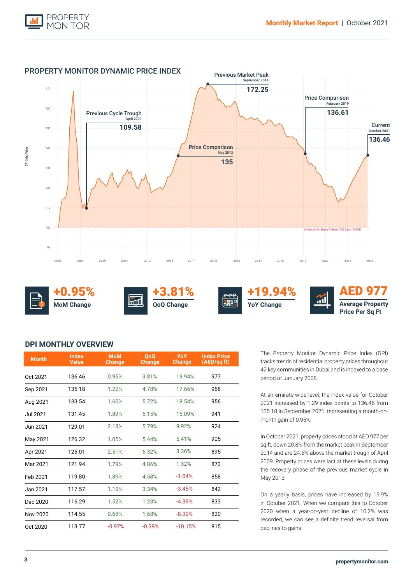



# **DPI MONTHLY OVERVIEW**

| <b>Month</b> | <b>Index</b><br><b>Value</b> | <b>MoM</b><br>Change | <b>OoO</b><br><b>Change</b> | YoY<br><b>Change</b> | <b>Index Price</b><br>(AED/sq ft) |
|--------------|------------------------------|----------------------|-----------------------------|----------------------|-----------------------------------|
| Oct 2021     | 136.46                       | 0.95%                | 3.81%                       | 19.94%               | 977                               |
| Sep 2021     | 135.18                       | 1.22%                | 4.78%                       | 17.66%               | 968                               |
| Aug 2021     | 133.54                       | 1.60%                | 5.72%                       | 18.54%               | 956                               |
| Jul 2021     | 131.45                       | 1.89%                | 5.15%                       | 15.09%               | 941                               |
| Jun 2021     | 129.01                       | 2.13%                | 5.79%                       | 9.92%                | 924                               |
| May 2021     | 126.32                       | 1.05%                | 5.44%                       | 5.41%                | 905                               |
| Apr 2021     | 125.01                       | 2.51%                | 6.32%                       | 3.36%                | 895                               |
| Mar 2021     | 121.94                       | 1.79%                | 4.86%                       | 1.32%                | 873                               |
| Feb 2021     | 119.80                       | 1.89%                | 4.58%                       | $-1.04%$             | 858                               |
| Jan 2021     | 117.57                       | 1.10%                | 3.34%                       | $-3.45%$             | 842                               |
| Dec 2020     | 116.29                       | 1.52%                | 1.23%                       | $-4.39%$             | 833                               |
| Nov 2020     | 114.55                       | 0.68%                | 1.68%                       | $-8.30%$             | 820                               |
| Oct 2020     | 113.77                       | $-0.97%$             | $-0.39%$                    | $-10.15%$            | 815                               |

The Property Monitor Dynamic Price Index (DPI) tracks trends of residential property prices throughout 42 key communities in Dubai and is indexed to a base period of January 2008.

At an emirate-wide level, the index value for October 2021 increased by 1.29 index points to 136.46 from 135.18 in September 2021, representing a month-onmonth gain of 0.95%.

In October 2021, property prices stood at AED 977 per sq ft, down 20.8% from the market peak in September 2014 and are 24.5% above the market trough of April 2009. Property prices were last at these levels during the recovery phase of the previous market cycle in May 2013.

On a yearly basis, prices have increased by 19.9% in October 2021. When we compare this to October 2020 when a year-on-year decline of 10.2% was recorded, we can see a definite trend reversal from declines to gains.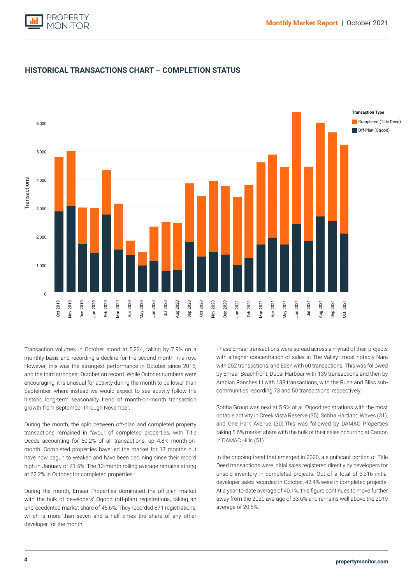



# **HISTORICAL TRANSACTIONS CHART – COMPLETION STATUS**

and the third strongest October on record. While October numbers were encouraging, it is unusual for activity during the month to be lower than Transaction volumes in October stood at 5,224, falling by 7.9% on a monthly basis and recording a decline for the second month in a row. However, this was the strongest performance in October since 2015, September, where instead we would expect to see activity follow the historic long-term seasonality trend of month-on-month transaction growth from September through November.

During the month, the split between off-plan and completed property transactions remained in favour of completed properties, with Title Deeds accounting for 60.2% of all transactions, up 4.8% month-onmonth. Completed properties have led the market for 17 months but have now begun to weaken and have been declining since their record high in January of 71.5%. The 12-month rolling average remains strong at 62.2% in October for completed properties.

During the month, Emaar Properties dominated the off-plan market with the bulk of developers' Oqood (off-plan) registrations, taking an unprecedented market share of 45.6%. They recorded 871 registrations, which is more than seven and a half times the share of any other developer for the month.

These Emaar transactions were spread across a myriad of their projects with a higher concentration of sales at The Valley—most notably Nara with 252 transactions, and Eden with 60 transactions. This was followed by Emaar Beachfront, Dubai Harbour with 139 transactions and then by Arabian Ranches III with 138 transactions, with the Ruba and Bliss subcommunities recording 73 and 50 transactions, respectively.

Sobha Group was next at 5.9% of all Oqood registrations with the most notable activity in Creek Vista Reserve (35), Sobha Hartland Waves (31), and One Park Avenue (30).This was followed by DAMAC Properties taking 5.6% market share with the bulk of their sales occurring at Carson in DAMAC Hills (51).

In the ongoing trend that emerged in 2020, a significant portion of Title Deed transactions were initial sales registered directly by developers for unsold inventory in completed projects. Out of a total of 3,316 initial developer sales recorded in October, 42.4% were in completed projects. At a year-to-date average of 40.1%, this figure continues to move further away from the 2020 average of 33.6% and remains well above the 2019 average of 20.5%.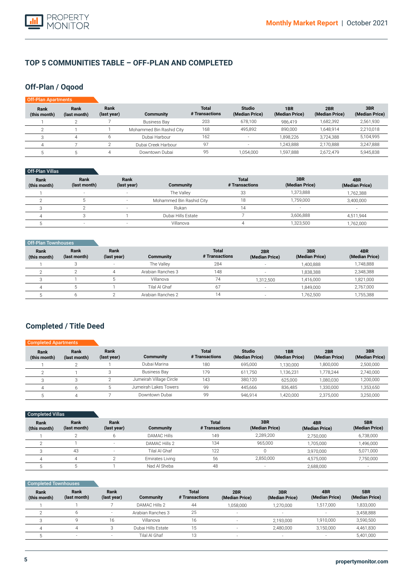

# **TOP 5 COMMUNITIES TABLE – OFF-PLAN AND COMPLETED**

# **Off-Plan / Oqood**

| Off-Plan Apartments  |                      |                     |                          |                                |                                 |                                   |                       |                       |
|----------------------|----------------------|---------------------|--------------------------|--------------------------------|---------------------------------|-----------------------------------|-----------------------|-----------------------|
| Rank<br>(this month) | Rank<br>(last month) | Rank<br>(last year) | Community                | <b>Total</b><br># Transactions | <b>Studio</b><br>(Median Price) | 1 <sub>BR</sub><br>(Median Price) | 2BR<br>(Median Price) | 3BR<br>(Median Price) |
|                      |                      |                     | <b>Business Bay</b>      | 203                            | 678,100                         | 986.419                           | 1,682,392             | 2,561,930             |
|                      |                      |                     | Mohammed Bin Rashid City | 168                            | 495,892                         | 890.000                           | 1.648.914             | 2,210,018             |
|                      | 4                    |                     | Dubai Harbour            | 162                            |                                 | 1.898.226                         | 3.724.388             | 5,104,995             |
|                      |                      |                     | Dubai Creek Harbour      | 97                             | $\overline{\phantom{a}}$        | 1.243.888                         | 2,170,888             | 3,247,888             |
|                      |                      |                     | Downtown Dubai           | 95                             | 1,054,000                       | 1,597,888                         | 2,672,479             | 5,945,838             |

| Off-Plan Villas |
|-----------------|
|-----------------|

| Rank<br>(this month) | Rank<br>(last month) | Rank<br>(last year)      | <b>Community</b>         | <b>Total</b><br># Transactions | 3BR<br>(Median Price)    | 4BR<br>(Median Price) |
|----------------------|----------------------|--------------------------|--------------------------|--------------------------------|--------------------------|-----------------------|
|                      | $\sim$               | $\overline{\phantom{a}}$ | The Vallev               | 33                             | 1,373,888                | 1,762,388             |
|                      |                      |                          | Mohammed Bin Rashid City |                                | 1,759,000                | 3,400,000             |
|                      |                      | $\overline{\phantom{a}}$ | Rukan                    |                                | $\overline{\phantom{a}}$ | $\sim$                |
|                      |                      |                          | Dubai Hills Estate       |                                | 3,606,888                | 4,511,944             |
|                      | $\sim$               |                          | Villanova                |                                | 1,323,500                | 1,762,000             |

| Off-Plan Townhouses         |                      |                     |                   |                                |                          |                       |                       |
|-----------------------------|----------------------|---------------------|-------------------|--------------------------------|--------------------------|-----------------------|-----------------------|
| <b>Rank</b><br>(this month) | Rank<br>(last month) | Rank<br>(last year) | Community         | <b>Total</b><br># Transactions | 2BR<br>(Median Price)    | 3BR<br>(Median Price) | 4BR<br>(Median Price) |
|                             |                      |                     | The Vallev        | 284                            |                          | 1,400,888             | 1,748,888             |
|                             |                      | 4                   | Arabian Ranches 3 | 148                            |                          | 1,838,388             | 2,348,388             |
|                             |                      |                     | Villanova         | 74                             | 1,312,500                | 1,416,000             | 1,821,000             |
|                             |                      |                     | Tilal Al Ghaf     | 67                             |                          | 1,849,000             | 2,767,000             |
|                             |                      |                     | Arabian Ranches 2 | 14                             | $\overline{\phantom{a}}$ | 1,762,500             | 1,755,388             |

# **Completed / Title Deed**

| <b>Completed Apartments</b> |                      |                     |                         |                                |                                 |                       |                       |                       |
|-----------------------------|----------------------|---------------------|-------------------------|--------------------------------|---------------------------------|-----------------------|-----------------------|-----------------------|
| Rank<br>(this month)        | Rank<br>(last month) | Rank<br>(last year) | Community               | <b>Total</b><br># Transactions | <b>Studio</b><br>(Median Price) | 1BR<br>(Median Price) | 2BR<br>(Median Price) | 3BR<br>(Median Price) |
|                             |                      |                     | Dubai Marina            | 180                            | 695,000                         | 1,130,000             | 1,800,000             | 2,500,000             |
|                             |                      |                     | <b>Business Bay</b>     | 179                            | 611.750                         | 1.136.231             | 1.778.244             | 2,740,000             |
|                             |                      |                     | Jumeirah Village Circle | 143                            | 380.120                         | 625.000               | 1.080.030             | 1,200,000             |
| Δ                           |                      |                     | Jumeirah Lakes Towers   | 99                             | 445.666                         | 836.485               | 1,330,000             | 1,353,650             |
|                             |                      |                     | Downtown Dubai          | 99                             | 946.914                         | 1,420,000             | 2.375.000             | 3,250,000             |

| Completed Villas     |                      |                          |                    |                                |                       |                       |                       |
|----------------------|----------------------|--------------------------|--------------------|--------------------------------|-----------------------|-----------------------|-----------------------|
| Rank<br>(this month) | Rank<br>(last month) | Rank<br>(last year)      | Community          | <b>Total</b><br># Transactions | 3BR<br>(Median Price) | 4BR<br>(Median Price) | 5BR<br>(Median Price) |
|                      |                      |                          | <b>DAMAC Hills</b> | 149                            | 2,289,200             | 2,750,000             | 6,738,000             |
|                      |                      | $\sim$                   | DAMAC Hills 2      | 134                            | 965,000               | 1,705,000             | 1,496,000             |
|                      | 43                   | $\overline{\phantom{a}}$ | Tilal Al Ghaf      | 122                            |                       | 3.970.000             | 5,071,000             |
|                      | 4                    |                          | Emirates Living    | 56                             | 2,850,000             | 4,575,000             | 7,750,000             |
|                      |                      |                          | Nad Al Sheba       | 48                             | -                     | 2,688,000             |                       |

| <b>Completed Townhouses</b> |                      |                     |                    |                                |                       |                       |
|-----------------------------|----------------------|---------------------|--------------------|--------------------------------|-----------------------|-----------------------|
| Rank<br>(this month)        | Rank<br>(last month) | Rank<br>(last year) | <b>Community</b>   | <b>Total</b><br># Transactions | 2BR<br>(Median Price) | 3BR<br>(Median Price) |
|                             |                      |                     | DAMAC Hills 2      | 44                             | 1,058,000             | 1,270,000             |
|                             | h                    |                     | Arabian Ranches 3  | 25                             |                       |                       |
| 3                           | 9                    | 16                  | Villanova          | 16                             |                       | 2,193,000             |
| 4                           |                      |                     | Dubai Hills Estate | 15                             |                       | 2,480,000             |
|                             | -                    |                     | Tilal Al Ghaf      | 13                             |                       |                       |

**5BR (Median Price)** 1,833,000 3,458,888 3,590,500 4,461,830 5,401,000

**4BR (Median Price)** 1,517,000 - 1,910,000 3,150,000 -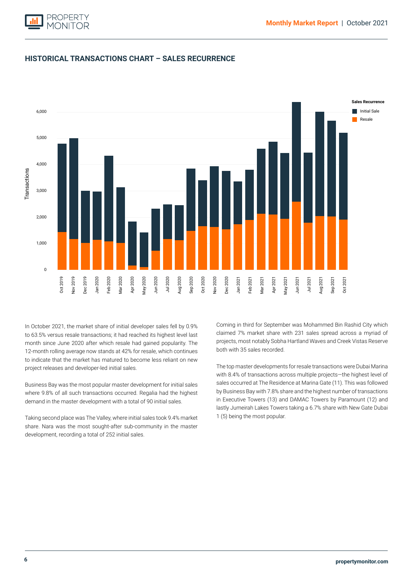

# **HISTORICAL TRANSACTIONS CHART – SALES RECURRENCE**



month since June 2020 after which resale had gained popularity. The Initial Sale 12-month rolling average now stands at 42% for resale, which continues to indicate that the market has matured to become less reliant on new In October 2021, the market share of initial developer sales fell by 0.9% to 63.5% versus resale transactions; it had reached its highest level last project releases and developer-led initial sales.

Business Bay was the most popular master development for initial sales where 9.8% of all such transactions occurred. Regalia had the highest demand in the master development with a total of 90 initial sales.

Taking second place was The Valley, where initial sales took 9.4% market share. Nara was the most sought-after sub-community in the master development, recording a total of 252 initial sales.

Coming in third for September was Mohammed Bin Rashid City which claimed 7% market share with 231 sales spread across a myriad of projects, most notably Sobha Hartland Waves and Creek Vistas Reserve both with 35 sales recorded.

The top master developments for resale transactions were Dubai Marina with 8.4% of transactions across multiple projects—the highest level of sales occurred at The Residence at Marina Gate (11). This was followed by Business Bay with 7.8% share and the highest number of transactions in Executive Towers (13) and DAMAC Towers by Paramount (12) and lastly Jumeirah Lakes Towers taking a 6.7% share with New Gate Dubai 1 (5) being the most popular.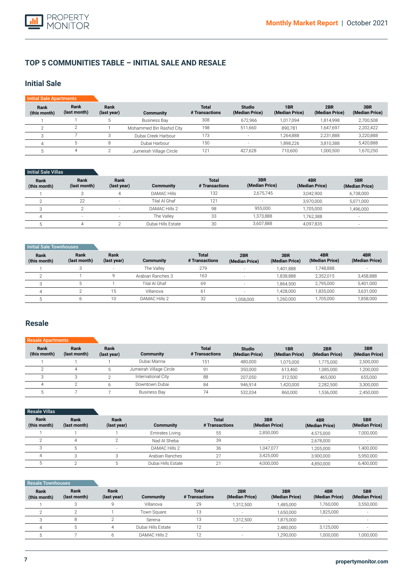

# **TOP 5 COMMUNITIES TABLE – INITIAL SALE AND RESALE**

# **Initial Sale**

| <b>Initial Sale Apartments</b> |                      |                     |                          |                                |                                 |                       |                       |                       |
|--------------------------------|----------------------|---------------------|--------------------------|--------------------------------|---------------------------------|-----------------------|-----------------------|-----------------------|
| Rank<br>(this month)           | Rank<br>(last month) | Rank<br>(last year) | Community                | <b>Total</b><br># Transactions | <b>Studio</b><br>(Median Price) | 1BR<br>(Median Price) | 2BR<br>(Median Price) | 3BR<br>(Median Price) |
|                                |                      |                     | <b>Business Bay</b>      | 308                            | 672.966                         | 1.017.094             | 1.814.998             | 2,700,508             |
|                                |                      |                     | Mohammed Bin Rashid City | 198                            | 511.660                         | 890.781               | 1.647.697             | 2,202,422             |
|                                |                      |                     | Dubai Creek Harbour      | 173                            | $\overline{\phantom{a}}$        | 1.264.888             | 2,231,888             | 3,220,888             |
|                                |                      |                     | Dubai Harbour            | 150                            |                                 | 1,898,226             | 3,810,388             | 5,420,888             |
|                                | 4                    |                     | Jumeirah Village Circle  | 121                            | 427,628                         | 710.600               | 1,000,500             | 1,670,250             |

#### Initial Sale Villas

| Rank<br>(this month) | Rank<br>(last month) | Rank<br>(last year)      | <b>Community</b>   | <b>Total</b><br># Transactions | 3BR<br>(Median Price) | 4BR<br>(Median Price) | 5BR<br>(Median Price) |
|----------------------|----------------------|--------------------------|--------------------|--------------------------------|-----------------------|-----------------------|-----------------------|
|                      |                      |                          | <b>DAMAC Hills</b> | 132                            | 2.675.745             | 3.042.900             | 6,738,000             |
|                      | 22                   | $\sim$                   | Tilal Al Ghaf      | 121                            |                       | 3,970,000             | 5,071,000             |
|                      |                      | $\overline{\phantom{0}}$ | DAMAC Hills 2      | 98                             | 955.000               | .705.000              | 1,496,000             |
|                      |                      | $\sim$                   | The Vallev         | 33                             | 1,373,888             | .762.388              |                       |
|                      |                      |                          | Dubai Hills Estate | 30                             | 3,607,888             | 4,097,835             |                       |

#### **Initial Sale Townhouses**

| Rank<br>(this month) | Rank<br>(last month) | Rank<br>(last year) | <b>Community</b>  | <b>Total</b><br># Transactions | 2BR<br>(Median Price)    | 3BR<br>(Median Price) | 4BR<br>(Median Price) | 4BR<br>(Median Price) |
|----------------------|----------------------|---------------------|-------------------|--------------------------------|--------------------------|-----------------------|-----------------------|-----------------------|
|                      |                      |                     | The Vallev        | 279                            |                          | 1.401.888             | 1.748.888             |                       |
|                      |                      |                     | Arabian Ranches 3 | 163                            | $\overline{\phantom{a}}$ | 1.838.888             | 2,352,015             | 3,458,888             |
|                      |                      |                     | Tilal Al Ghaf     | 69                             |                          | 1.864.500             | 2,795,000             | 5,401,000             |
|                      |                      | 15                  | Villanova         | 61                             |                          | 1.428.000             | 1,835,000             | 3,631,000             |
|                      |                      | 10                  | DAMAC Hills 2     | 32                             | 058,000                  | 1,260,000             | ,705,000              | 1,858,000             |

## **Resale**

#### **Rank (this month)** 1  $\overline{2}$ 3 4 5 **Rank (last month)** 1 4 3  $\overline{2}$ 7 **Rank (last year)** 1 5  $\overline{2}$ 6 7 **Community**  Dubai Marina Jumeirah Village Circle International City Downtown Dubai Business Bay **Total # Transactions** 151 91 88 84 74 Resale A **Studio (Median Price)** 480,000 350,000 207,050 946,914 532,034 **1BR (Median Price)** 1,075,000 613,460 312,500 1,420,000 860,000 **2BR (Median Price)** 1,775,000 1,085,000 465,000 2,282,500 1,536,000 **3BR (Median Price)** 2,500,000 1,200,000 655,000 3,300,000 2,450,000

| <b>Resale Villas</b> |                      |                     |                    |                                |                       |                       |                       |
|----------------------|----------------------|---------------------|--------------------|--------------------------------|-----------------------|-----------------------|-----------------------|
| Rank<br>(this month) | Rank<br>(last month) | Rank<br>(last year) | <b>Community</b>   | <b>Total</b><br># Transactions | 3BR<br>(Median Price) | 4BR<br>(Median Price) | 5BR<br>(Median Price) |
|                      |                      |                     | Emirates Living    | 55                             | 2.850.000             | 4,575,000             | 7,000,000             |
|                      |                      |                     | Nad Al Sheba       | 39                             |                       | 2,678,000             |                       |
|                      |                      | $\sim$              | DAMAC Hills 2      | 36                             | 1.047.077             | 1,205,000             | 1,400,000             |
| д                    |                      |                     | Arabian Ranches    | 27                             | 3.425.000             | 3,900,000             | 5,950,000             |
|                      |                      |                     | Dubai Hills Estate | 01                             | 4,000,000             | 4,850,000             | 6,400,000             |

#### Resale Townhouses

| Rank<br>(this month) | Rank<br>(last month) | Rank<br>(last year) | Community          | <b>Total</b><br># Transactions | 2BR<br>(Median Price) | 3BR<br>(Median Price) | 4BR<br>(Median Price) | 5BR<br>(Median Price)    |
|----------------------|----------------------|---------------------|--------------------|--------------------------------|-----------------------|-----------------------|-----------------------|--------------------------|
|                      |                      |                     | Villanova          | 29                             | 1.312.500             | 1,485,000             | 1,760,000             | 3,550,000                |
|                      |                      |                     | Town Square        | 13                             |                       | 1,650,000             | 1,825,000             | $\overline{\phantom{a}}$ |
|                      |                      |                     | Serena             | 13                             | 1.312.500             | 1,875,000             | -                     | $\overline{\phantom{a}}$ |
| $\Delta$             |                      |                     | Dubai Hills Estate | 12                             |                       | 2,480,000             | 3.125.000             |                          |
|                      |                      |                     | DAMAC Hills 2      | 10                             |                       | 1,290,000             | 1,000,000             | 1,000,000                |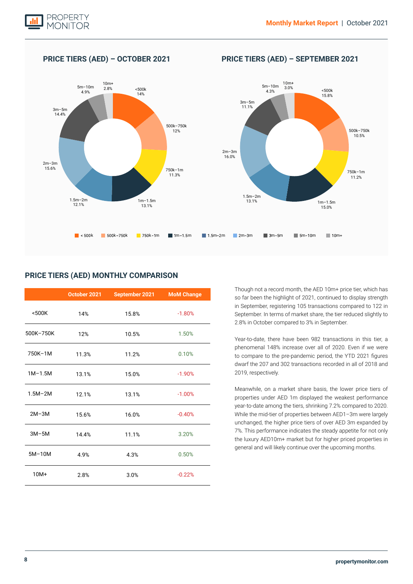

# **PRICE TIERS (AED) – OCTOBER 2021 PRICE TIERS (AED) – SEPTEMBER 2021**



## **PRICE TIERS (AED) MONTHLY COMPARISON**

|             | October 2021 | September 2021 | <b>MoM Change</b> |
|-------------|--------------|----------------|-------------------|
| $500K$      | 14%          | 15.8%          | $-1.80%$          |
| 500K-750K   | 12%          | 10.5%          | 1.50%             |
| 750K-1M     | 11.3%        | 11.2%          | 0.10%             |
| $1M-1.5M$   | 13.1%        | 15.0%          | $-1.90%$          |
| $1.5M - 2M$ | 12.1%        | 13.1%          | $-1.00%$          |
| $2M-3M$     | 15.6%        | 16.0%          | $-0.40%$          |
| $3M-5M$     | 14.4%        | 11.1%          | 3.20%             |
| $5M-10M$    | 4.9%         | 4.3%           | 0.50%             |
| $10M+$      | 2.8%         | 3.0%           | $-0.22%$          |

Though not a record month, the AED 10m+ price tier, which has so far been the highlight of 2021, continued to display strength in September, registering 105 transactions compared to 122 in September. In terms of market share, the tier reduced slightly to 2.8% in October compared to 3% in September.

Year-to-date, there have been 982 transactions in this tier, a phenomenal 148% increase over all of 2020. Even if we were to compare to the pre-pandemic period, the YTD 2021 figures dwarf the 207 and 302 transactions recorded in all of 2018 and 2019, respectively.

Meanwhile, on a market share basis, the lower price tiers of properties under AED 1m displayed the weakest performance year-to-date among the tiers, shrinking 7.2% compared to 2020. While the mid-tier of properties between AED1–3m were largely unchanged, the higher price tiers of over AED 3m expanded by 7%. This performance indicates the steady appetite for not only the luxury AED10m+ market but for higher priced properties in general and will likely continue over the upcoming months.